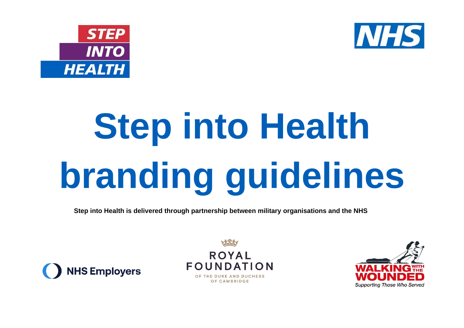



# **Step into Health branding guidelines**

**Step into Health is delivered through partnership between military organisations and the NHS**





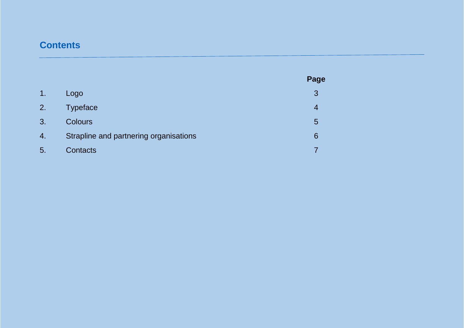# **Contents**

|    |                                        | Page |
|----|----------------------------------------|------|
| 1. | Logo                                   | 3    |
| 2. | <b>Typeface</b>                        | 4    |
| 3. | <b>Colours</b>                         | 5    |
| 4. | Strapline and partnering organisations | 6    |
| 5. | Contacts                               |      |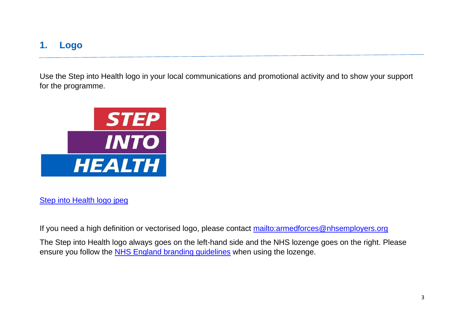## **1. Logo**

Use the Step into Health logo in your local communications and promotional activity and to show your support for the programme.



### [Step into Health logo jpeg](https://www.nhsemployers.org/sites/default/files/2021-06/Step-into-Health-logo.jpg)

If you need a high definition or vectorised logo, please contact<mailto:armedforces@nhsemployers.org>

The Step into Health logo always goes on the left-hand side and the NHS lozenge goes on the right. Please ensure you follow the [NHS England branding guidelines](https://www.england.nhs.uk/nhsidentity/) when using the lozenge.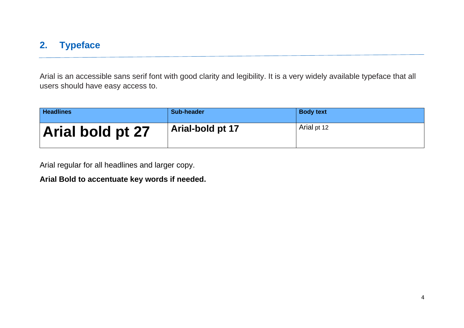## **2. Typeface**

Arial is an accessible sans serif font with good clarity and legibility. It is a very widely available typeface that all users should have easy access to.

| <b>Headlines</b> | Sub-header       | <b>Body text</b> |
|------------------|------------------|------------------|
| Arial bold pt 27 | Arial-bold pt 17 | Arial pt 12      |

Arial regular for all headlines and larger copy.

**Arial Bold to accentuate key words if needed.**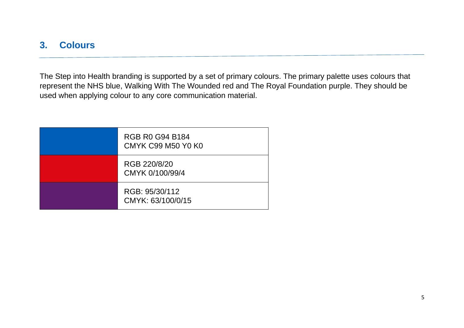# **3. Colours**

The Step into Health branding is supported by a set of primary colours. The primary palette uses colours that represent the NHS blue, Walking With The Wounded red and The Royal Foundation purple. They should be used when applying colour to any core communication material.

| <b>RGB R0 G94 B184</b><br><b>CMYK C99 M50 Y0 K0</b> |
|-----------------------------------------------------|
| RGB 220/8/20<br>CMYK 0/100/99/4                     |
| RGB: 95/30/112<br>CMYK: 63/100/0/15                 |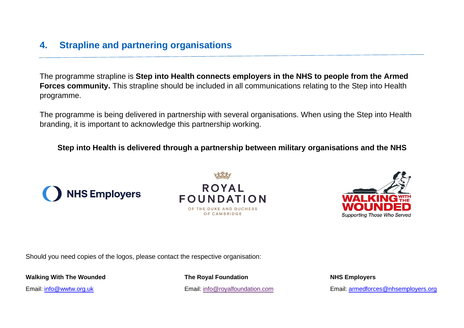# **4. Strapline and partnering organisations**

The programme strapline is **Step into Health connects employers in the NHS to people from the Armed Forces community.** This strapline should be included in all communications relating to the Step into Health programme.

The programme is being delivered in partnership with several organisations. When using the Step into Health branding, it is important to acknowledge this partnership working.

### **Step into Health is delivered through a partnership between military organisations and the NHS**







Should you need copies of the logos, please contact the respective organisation:

**Walking With The Wounded The Royal Foundation NHS Employers**

Email: [info@wwtw.org.uk](mailto:info@wwtw.org.uk) entitled the Email: [info@royalfoundation.com](mailto:info@royalfoundation.com) Email: info@rovers.org Email: [armedforces@nhsemployers.org](mailto:armedforces@nhsemployers.org)